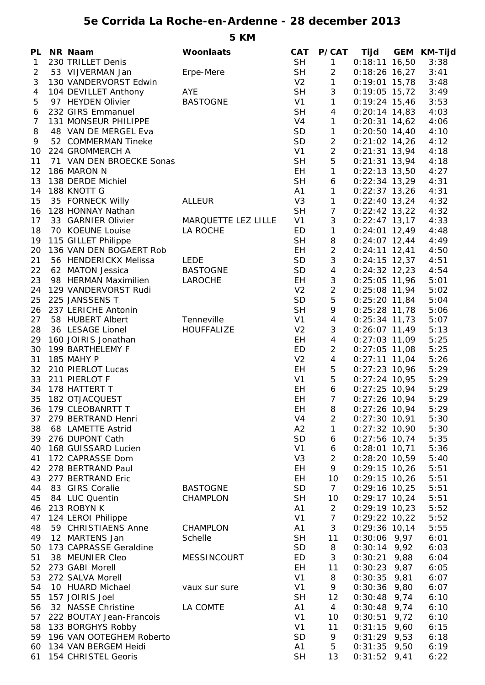## **5e Corrida La Roche-en-Ardenne - 28 december 2013**

**5 KM**

|                 | PL NR Naam                  | Woonlaats           | CAT            | <b>P/CAT</b>     |                 | Tijd GEM KM-Tijd |
|-----------------|-----------------------------|---------------------|----------------|------------------|-----------------|------------------|
| $\mathbf{1}$    | 230 TRILLET Denis           |                     | <b>SH</b>      | $\mathbf{1}$     | $0:18:11$ 16,50 | 3:38             |
| $\overline{2}$  | 53 VIJVERMAN Jan            | Erpe-Mere           | <b>SH</b>      | $\overline{2}$   | $0:18:26$ 16,27 | 3:41             |
| 3               | 130 VANDERVORST Edwin       |                     | V <sub>2</sub> | $\mathbf{1}$     | $0:19:01$ 15,78 | 3:48             |
| 4               | 104 DEVILLET Anthony        | <b>AYE</b>          | <b>SH</b>      | $\mathbf{3}$     | $0:19:05$ 15,72 | 3:49             |
| 5               | 97 HEYDEN Olivier           | <b>BASTOGNE</b>     | V1             | $\mathbf{1}$     | $0:19:24$ 15,46 | 3:53             |
| 6               | 232 GIRS Emmanuel           |                     | <b>SH</b>      | $\overline{4}$   | $0:20:14$ 14,83 | 4:03             |
| $\overline{7}$  | 131 MONSEUR PHILIPPE        |                     | V4             | $\mathbf{1}$     | $0:20:31$ 14,62 | 4:06             |
| 8               | 48 VAN DE MERGEL Eva        |                     | SD             | $\mathbf{1}$     | $0:20:50$ 14,40 | 4:10             |
| 9               | 52 COMMERMAN Tineke         |                     | SD             | $\overline{2}$   | $0:21:02$ 14,26 | 4:12             |
| 10              | 224 GROMMERCH A             |                     | V1             | $\overline{2}$   | $0:21:31$ 13,94 | 4:18             |
| 11              | 71 VAN DEN BROECKE Sonas    |                     | <b>SH</b>      | $\mathbf 5$      | $0:21:31$ 13,94 | 4:18             |
| 12 <sup>°</sup> | 186 MARON N                 |                     | EH             | $\mathbf{1}$     | $0:22:13$ 13,50 | 4:27             |
| 13              | 138 DERDE Michiel           |                     | <b>SH</b>      | $\boldsymbol{6}$ | $0:22:34$ 13,29 | 4:31             |
| 14              | 188 KNOTT G                 |                     | A1             | $\mathbf{1}$     | $0:22:37$ 13,26 | 4:31             |
| 15              | 35 FORNECK Willy            | <b>ALLEUR</b>       | V <sub>3</sub> | $\mathbf{1}$     | $0:22:40$ 13,24 | 4:32             |
| 16              | 128 HONNAY Nathan           |                     | <b>SH</b>      | $\overline{7}$   | $0:22:42$ 13,22 | 4:32             |
| 17              | 33 GARNIER Olivier          | MARQUETTE LEZ LILLE | V <sub>1</sub> | 3                | $0:22:47$ 13,17 | 4:33             |
| 18              | 70 KOEUNE Louise            | LA ROCHE            | ED             | $\mathbf{1}$     | $0:24:01$ 12,49 | 4:48             |
|                 | 19 115 GILLET Philippe      |                     | <b>SH</b>      | $\, 8$           | $0:24:07$ 12,44 | 4:49             |
| 20              | 136 VAN DEN BOGAERT Rob     |                     | EH.            | $\overline{2}$   | $0:24:11$ 12,41 | 4:50             |
| 21              | 56 HENDERICKX Melissa       | LEDE                | SD             | $\mathfrak{Z}$   | $0:24:15$ 12,37 | 4:51             |
| 22              | 62 MATON Jessica            | <b>BASTOGNE</b>     | SD             | $\overline{4}$   | $0:24:32$ 12,23 | 4:54             |
| 23              | 98 HERMAN Maximilien        | LAROCHE             | EH             | $\mathfrak{Z}$   | $0:25:05$ 11,96 | 5:01             |
| 24              | 129 VANDERVORST Rudi        |                     | V <sub>2</sub> | $\overline{2}$   | $0:25:08$ 11,94 | 5:02             |
| 25              | 225 JANSSENS T              |                     | SD             | 5                | $0:25:20$ 11,84 | 5:04             |
| 26              | 237 LERICHE Antonin         |                     | <b>SH</b>      | 9                | $0:25:28$ 11,78 | 5:06             |
| 27              | 58 HUBERT Albert            | Tenneville          | V1             | $\overline{4}$   | $0:25:34$ 11,73 | 5:07             |
| 28              | 36 LESAGE Lionel            | <b>HOUFFALIZE</b>   | V <sub>2</sub> | $\sqrt{3}$       | $0:26:07$ 11,49 | 5:13             |
| 29              | 160 JOIRIS Jonathan         |                     | EH             | $\overline{4}$   | $0:27:03$ 11,09 | 5:25             |
| 30              | 199 BARTHELEMY F            |                     | ED             | $\overline{2}$   | $0:27:05$ 11,08 | 5:25             |
| 31              | 185 MAHY P                  |                     | V <sub>2</sub> | 4                | $0:27:11$ 11,04 | 5:26             |
|                 | 32 210 PIERLOT Lucas        |                     | EH             | $\sqrt{5}$       | $0:27:23$ 10,96 | 5:29             |
|                 | 33 211 PIERLOT F            |                     | V1             | 5                | $0:27:24$ 10,95 | 5:29             |
|                 | 34 178 HATTERT T            |                     | EH             | $\epsilon$       | $0:27:25$ 10,94 | 5:29             |
|                 | 35 182 OTJACQUEST           |                     | EH             | $\overline{7}$   | $0:27:26$ 10,94 | 5:29             |
|                 | 36 179 CLEOBANRTT T         |                     | EH             | 8                | $0:27:26$ 10,94 | 5:29             |
|                 | 37 279 BERTRAND Henri       |                     | V4             | 2                | $0:27:30$ 10,91 | 5:30             |
|                 | 38 68 LAMETTE Astrid        |                     | A2             | $\mathbf{1}$     | $0:27:32$ 10,90 | 5:30             |
|                 | 39 276 DUPONT Cath          |                     | SD             | 6                | $0:27:56$ 10,74 | 5:35             |
| 40              | 168 GUISSARD Lucien         |                     | V <sub>1</sub> | 6                | $0:28:01$ 10,71 | 5:36             |
| 41              | 172 CAPRASSE Dom            |                     | V <sub>3</sub> | $\overline{c}$   | $0:28:20$ 10,59 | 5:40             |
|                 | 42 278 BERTRAND Paul        |                     | EH             | 9                | $0:29:15$ 10,26 | 5:51             |
|                 | 43 277 BERTRAND Eric        |                     | EH             | 10               | $0:29:15$ 10,26 | 5:51             |
| 44              | 83 GIRS Coralie             | <b>BASTOGNE</b>     | <b>SD</b>      | 7 <sup>1</sup>   | $0:29:16$ 10,25 | 5:51             |
| 45              | 84 LUC Quentin              | <b>CHAMPLON</b>     | <b>SH</b>      | 10               | $0:29:17$ 10,24 | 5:51             |
|                 | 46 213 ROBYN K              |                     | A1             | $\overline{2}$   | $0:29:19$ 10,23 | 5:52             |
|                 | 47 124 LEROI Philippe       |                     | V <sub>1</sub> | $\overline{7}$   | $0:29:22$ 10,22 | 5:52             |
| 48              | 59 CHRISTIAENS Anne         | CHAMPLON            | A <sub>1</sub> | 3                | $0:29:36$ 10,14 | 5:55             |
|                 | 49 12 MARTENS Jan           | Schelle             | <b>SH</b>      | 11               | $0:30:06$ 9,97  | 6:01             |
| 50              | 173 CAPRASSE Geraldine      |                     | <b>SD</b>      | 8                | $0:30:14$ 9,92  | 6:03             |
| 51              | 38 MEUNIER Cleo             | MESSINCOURT         | ED             | 3                | $0:30:21$ 9,88  | 6:04             |
|                 | 52 273 GABI Morell          |                     | EH             | 11               | $0:30:23$ 9,87  | 6:05             |
| 53              | 272 SALVA Morell            |                     | V <sub>1</sub> | 8                | $0:30:35$ 9,81  | 6:07             |
| 54              | 10 HUARD Michael            | vaux sur sure       | V <sub>1</sub> | 9                | $0:30:36$ 9,80  | 6:07             |
| 55              | 157 JOIRIS Joel             |                     | <b>SH</b>      | 12               | $0:30:48$ 9,74  | 6:10             |
| 56              | 32 NASSE Christine          | LA COMTE            | A <sub>1</sub> | $\overline{4}$   | $0:30:48$ 9,74  | 6:10             |
| 57              | 222 BOUTAY Jean-Francois    |                     | V <sub>1</sub> | 10               | $0:30:51$ 9,72  | 6:10             |
|                 | 58 133 BORGHYS Robby        |                     | V <sub>1</sub> | 11               | $0:31:15$ 9,60  | 6:15             |
|                 | 59 196 VAN OOTEGHEM Roberto |                     | <b>SD</b>      | 9                | $0:31:29$ 9,53  | 6:18             |
|                 | 60 134 VAN BERGEM Heidi     |                     | A <sub>1</sub> | 5                | $0:31:35$ 9,50  | 6:19             |
|                 | 61 154 CHRISTEL Georis      |                     | <b>SH</b>      | 13               | $0:31:52$ 9,41  | 6:22             |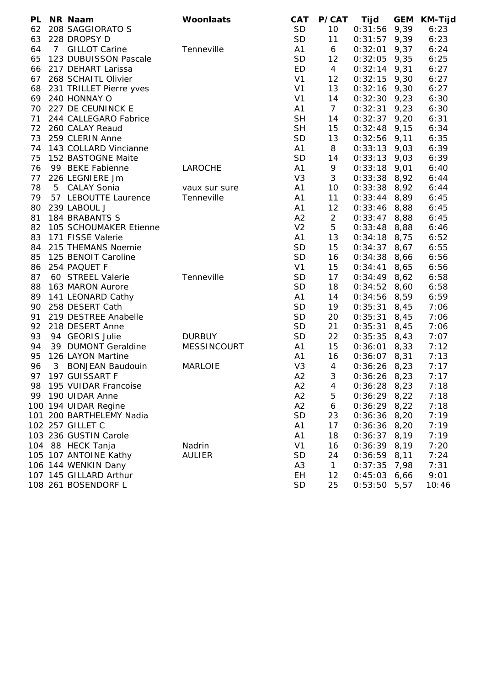| <b>PL</b> | NR Naam                  | Woonlaats          | <b>CAT</b>     | <b>P/CAT</b>    | Tijd           | <b>GEM</b> | <b>KM-Tijd</b> |
|-----------|--------------------------|--------------------|----------------|-----------------|----------------|------------|----------------|
| 62        | 208 SAGGIORATO S         |                    | <b>SD</b>      | 10              | 0:31:56        | 9,39       | 6:23           |
| 63        | 228 DROPSY D             |                    | <b>SD</b>      | 11              | $0:31:57$ 9,39 |            | 6:23           |
| 64        | 7 GILLOT Carine          | Tenneville         | A <sub>1</sub> | 6               | 0:32:01        | 9,37       | 6:24           |
| 65        | 123 DUBUISSON Pascale    |                    | <b>SD</b>      | 12              | $0:32:05$ 9,35 |            | 6:25           |
| 66        | 217 DEHART Larissa       |                    | ED             | $\overline{4}$  | $0:32:14$ 9,31 |            | 6:27           |
| 67        | 268 SCHAITL Olivier      |                    | V <sub>1</sub> | 12              | $0:32:15$ 9,30 |            | 6:27           |
| 68        | 231 TRILLET Pierre yves  |                    | V <sub>1</sub> | 13              | $0:32:16$ 9,30 |            | 6:27           |
| 69        | 240 HONNAY O             |                    | V <sub>1</sub> | 14              | $0:32:30$ 9,23 |            | 6:30           |
| 70        | 227 DE CEUNINCK E        |                    | A <sub>1</sub> | $7\overline{ }$ | 0:32:31        | 9,23       | 6:30           |
| 71        | 244 CALLEGARO Fabrice    |                    | <b>SH</b>      | 14              | $0:32:37$ 9,20 |            | 6:31           |
|           | 72 260 CALAY Reaud       |                    | <b>SH</b>      | 15              | $0:32:48$ 9,15 |            | 6:34           |
| 73        | 259 CLERIN Anne          |                    | SD             | 13              | $0:32:56$ 9,11 |            | 6:35           |
| 74        | 143 COLLARD Vincianne    |                    | A <sub>1</sub> | 8               | $0:33:13$ 9,03 |            | 6:39           |
| 75        | 152 BASTOGNE Maite       |                    | <b>SD</b>      | 14              | $0:33:13$ 9,03 |            | 6:39           |
| 76        | 99 BEKE Fabienne         | LAROCHE            | A <sub>1</sub> | 9               | $0:33:18$ 9,01 |            | 6:40           |
| 77        | 226 LEGNIERE Jm          |                    | V <sub>3</sub> | 3               | $0:33:38$ 8,92 |            | 6:44           |
| 78        | 5 CALAY Sonia            | vaux sur sure      | A <sub>1</sub> | 10              | $0:33:38$ 8,92 |            | 6:44           |
| 79        | 57 LEBOUTTE Laurence     | Tenneville         | A <sub>1</sub> | 11              | $0:33:44$ 8,89 |            | 6:45           |
| 80        | 239 LABOUL J             |                    | A <sub>1</sub> | 12              | $0:33:46$ 8,88 |            | 6:45           |
| 81        | 184 BRABANTS S           |                    | A2             | $\overline{a}$  | $0:33:47$ 8,88 |            | 6:45           |
| 82        | 105 SCHOUMAKER Etienne   |                    | V <sub>2</sub> | 5               | $0:33:48$ 8,88 |            | 6:46           |
| 83        | 171 FISSE Valerie        |                    | A <sub>1</sub> | 13              | $0:34:18$ 8,75 |            | 6:52           |
| 84        | 215 THEMANS Noemie       |                    | <b>SD</b>      | 15              | $0:34:37$ 8,67 |            | 6:55           |
|           | 85 125 BENOIT Caroline   |                    | <b>SD</b>      | 16              | $0:34:38$ 8,66 |            | 6:56           |
| 86        | 254 PAQUET F             |                    | V <sub>1</sub> | 15              | 0:34:41        | 8,65       | 6:56           |
| 87        | 60 STREEL Valerie        | Tenneville         | <b>SD</b>      | 17              | $0:34:49$ 8,62 |            | 6:58           |
| 88        | 163 MARON Aurore         |                    | SD             | 18              | $0:34:52$ 8,60 |            | 6:58           |
|           | 89 141 LEONARD Cathy     |                    | A <sub>1</sub> | 14              | $0:34:56$ 8,59 |            | 6:59           |
| 90        | 258 DESERT Cath          |                    | SD             | 19              | 0:35:31        | 8,45       | 7:06           |
| 91        | 219 DESTREE Anabelle     |                    | <b>SD</b>      | 20              | 0:35:31        | 8,45       | 7:06           |
| 92        | 218 DESERT Anne          |                    | <b>SD</b>      | 21              | 0:35:31        | 8,45       | 7:06           |
| 93        | 94 GEORIS Julie          | <b>DURBUY</b>      | <b>SD</b>      | 22              | 0:35:35        | 8,43       | 7:07           |
| 94        | 39 DUMONT Geraldine      | <b>MESSINCOURT</b> | A1             | 15              | 0:36:01        | 8,33       | 7:12           |
| 95        | 126 LAYON Martine        |                    | A1             | 16              | $0:36:07$ 8,31 |            | 7:13           |
| 96        | 3 BONJEAN Baudouin       | <b>MARLOIE</b>     | V <sub>3</sub> | 4               | $0:36:26$ 8,23 |            | 7:17           |
| 97        | 197 GUISSART F           |                    | A2             | 3               | $0:36:26$ 8.23 |            | 7:17           |
| 98        | 195 VUIDAR Francoise     |                    | A <sub>2</sub> | 4               | $0:36:28$ 8,23 |            | 7:18           |
| 99        | 190 UIDAR Anne           |                    | A2             | 5               | $0:36:29$ 8,22 |            | 7:18           |
|           | 100 194 UIDAR Regine     |                    | A2             | 6               | 0:36:29        | 8,22       | 7:18           |
|           | 101 200 BARTHELEMY Nadia |                    | <b>SD</b>      | 23              | 0:36:36        | 8,20       | 7:19           |
|           | 102 257 GILLET C         |                    | A <sub>1</sub> | 17              | 0:36:36        | 8,20       | 7:19           |
|           | 103 236 GUSTIN Carole    |                    | A <sub>1</sub> | 18              | 0:36:37        | 8,19       | 7:19           |
|           | 104 88 HECK Tanja        | Nadrin             | V <sub>1</sub> | 16              | 0:36:39        | 8,19       | 7:20           |
|           | 105 107 ANTOINE Kathy    | <b>AULIER</b>      | <b>SD</b>      | 24              | 0:36:59        | 8,11       | 7:24           |
|           | 106 144 WENKIN Dany      |                    | A <sub>3</sub> | $\mathbf{1}$    | 0:37:35        | 7,98       | 7:31           |
|           | 107 145 GILLARD Arthur   |                    | EH             | 12              | 0:45:03        | 6,66       | 9:01           |
|           | 108 261 BOSENDORF L      |                    | <b>SD</b>      | 25              | 0:53:50        | 5,57       | 10:46          |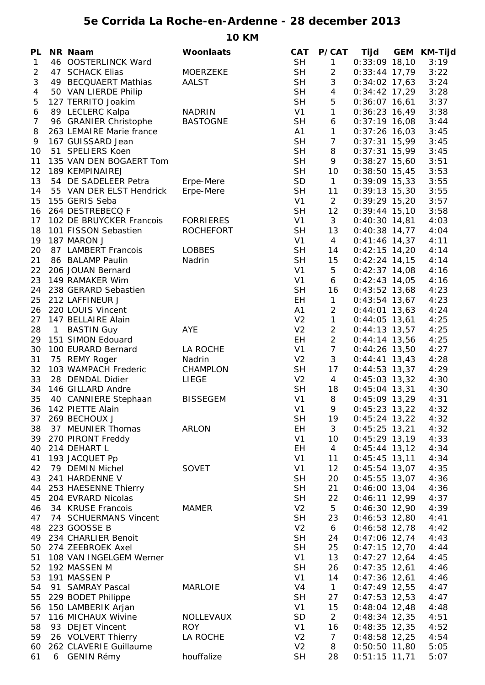## **5e Corrida La Roche-en-Ardenne - 28 december 2013**

**10 KM**

| PL             |                | <b>NR Naam</b>           | Woonlaats        | <b>CAT</b>     | P/CAT          | Tijd            | <b>GEM KM-Tijd</b> |
|----------------|----------------|--------------------------|------------------|----------------|----------------|-----------------|--------------------|
| $\mathbf{1}$   |                | 46 OOSTERLINCK Ward      |                  | <b>SH</b>      | 1              | $0:33:09$ 18,10 | 3:19               |
| 2              |                | 47 SCHACK Elias          | <b>MOERZEKE</b>  | <b>SH</b>      | $\overline{c}$ | $0:33:44$ 17,79 | 3:22               |
| 3              |                | 49 BECQUAERT Mathias     | <b>AALST</b>     | <b>SH</b>      | $\sqrt{3}$     | $0:34:02$ 17,63 | 3:24               |
| 4              |                | 50 VAN LIERDE Philip     |                  | <b>SH</b>      | 4              | $0:34:42$ 17,29 | 3:28               |
| 5              |                | 127 TERRITO Joakim       |                  | <b>SH</b>      | $\mathbf 5$    | $0:36:07$ 16,61 | 3:37               |
| 6              |                | 89 LECLERC Kalpa         | <b>NADRIN</b>    | V1             | $\mathbf{1}$   | $0:36:23$ 16,49 | 3:38               |
| $\overline{7}$ |                | 96 GRANIER Christophe    | <b>BASTOGNE</b>  | <b>SH</b>      | 6              | $0:37:19$ 16,08 | 3:44               |
| 8              |                | 263 LEMAIRE Marie france |                  | A1             | $\mathbf{1}$   | $0:37:26$ 16,03 | 3:45               |
| 9              |                | 167 GUISSARD Jean        |                  | <b>SH</b>      | $\overline{7}$ | $0:37:31$ 15,99 | 3:45               |
| 10             |                | 51 SPELIERS Koen         |                  | <b>SH</b>      | 8              | $0:37:31$ 15,99 | 3:45               |
| 11             |                | 135 VAN DEN BOGAERT Tom  |                  | <b>SH</b>      | 9              | $0:38:27$ 15,60 | 3:51               |
| 12             |                | 189 KEMPINAIREJ          |                  | <b>SH</b>      | 10             | $0:38:50$ 15,45 | 3:53               |
| 13             |                | 54 DE SADELEER Petra     | Erpe-Mere        | SD             | $\mathbf{1}$   | $0:39:09$ 15,33 | 3:55               |
| 14             |                | 55 VAN DER ELST Hendrick | Erpe-Mere        | <b>SH</b>      | 11             | $0:39:13$ 15,30 | 3:55               |
| 15             |                | 155 GERIS Seba           |                  | V <sub>1</sub> | $\overline{2}$ | $0:39:29$ 15,20 | 3:57               |
| 16             |                | 264 DESTREBECQ F         |                  | <b>SH</b>      | 12             | $0:39:44$ 15,10 | 3:58               |
|                |                |                          |                  |                |                |                 |                    |
| 17             |                | 102 DE BRUYCKER Francois | <b>FORRIERES</b> | V1             | 3              | $0:40:30$ 14,81 | 4:03               |
| 18             |                | 101 FISSON Sebastien     | <b>ROCHEFORT</b> | <b>SH</b>      | 13             | $0:40:38$ 14,77 | 4:04               |
| 19             |                | 187 MARON J              |                  | V <sub>1</sub> | $\overline{4}$ | $0:41:46$ 14,37 | 4:11               |
| 20             |                | 87 LAMBERT Francois      | <b>LOBBES</b>    | <b>SH</b>      | 14             | $0:42:15$ 14,20 | 4:14               |
| 21             |                | 86 BALAMP Paulin         | Nadrin           | <b>SH</b>      | 15             | $0:42:24$ 14,15 | 4:14               |
| 22             |                | 206 JOUAN Bernard        |                  | V1             | 5              | $0:42:37$ 14,08 | 4:16               |
| 23             |                | 149 RAMAKER Wim          |                  | V <sub>1</sub> | 6              | $0:42:43$ 14,05 | 4:16               |
|                |                | 24 238 GERARD Sebastien  |                  | <b>SH</b>      | 16             | $0:43:52$ 13,68 | 4:23               |
| 25             |                | 212 LAFFINEUR J          |                  | EH             | $\mathbf{1}$   | $0:43:54$ 13,67 | 4:23               |
|                |                | 26 220 LOUIS Vincent     |                  | A1             | $\overline{2}$ | $0:44:01$ 13,63 | 4:24               |
| 27             |                | 147 BELLAIRE Alain       |                  | V <sub>2</sub> | $\mathbf{1}$   | $0:44:05$ 13,61 | 4:25               |
| 28             | $\overline{1}$ | <b>BASTIN Guy</b>        | <b>AYE</b>       | V <sub>2</sub> | $\overline{a}$ | $0:44:13$ 13,57 | 4:25               |
| 29             |                | 151 SIMON Edouard        |                  | EH.            | $\overline{2}$ | $0:44:14$ 13,56 | 4:25               |
| 30             |                | 100 EURARD Bernard       | LA ROCHE         | V <sub>1</sub> | $\overline{7}$ | $0:44:26$ 13,50 | 4:27               |
| 31             |                | 75 REMY Roger            | Nadrin           | V <sub>2</sub> | $\mathfrak{Z}$ | $0:44:41$ 13,43 | 4:28               |
| 32             |                | 103 WAMPACH Frederic     | <b>CHAMPLON</b>  | <b>SH</b>      | 17             | $0:44:53$ 13,37 | 4:29               |
| 33             |                | 28 DENDAL Didier         | LIEGE            | V <sub>2</sub> | $\overline{4}$ | $0:45:03$ 13,32 | 4:30               |
| 34             |                | 146 GILLARD Andre        |                  | <b>SH</b>      | 18             | $0:45:04$ 13,31 | 4:30               |
| 35             |                | 40 CANNIERE Stephaan     | <b>BISSEGEM</b>  | V <sub>1</sub> | 8              | $0:45:09$ 13,29 | 4:31               |
|                |                |                          |                  |                |                |                 |                    |
| 36             |                | 142 PIETTE Alain         |                  | V <sub>1</sub> | 9              | $0:45:23$ 13,22 | 4:32               |
| 37             |                | 269 BECHOUX J            |                  | <b>SH</b>      | 19             | $0:45:24$ 13,22 | 4:32               |
| 38             |                | 37 MEUNIER Thomas        | ARLON            | EH             | 3              | $0:45:25$ 13,21 | 4:32               |
| 39             |                | 270 PIRONT Freddy        |                  | V <sub>1</sub> | 10             | $0:45:29$ 13,19 | 4:33               |
| 40             |                | 214 DEHART L             |                  | EH             | $\overline{4}$ | $0:45:44$ 13,12 | 4:34               |
| 41             |                | 193 JACQUET Pp           |                  | V <sub>1</sub> | 11             | $0:45:45$ 13,11 | 4:34               |
| 42             |                | 79 DEMIN Michel          | <b>SOVET</b>     | V <sub>1</sub> | 12             | $0:45:54$ 13,07 | 4:35               |
| 43             |                | 241 HARDENNE V           |                  | <b>SH</b>      | 20             | $0:45:55$ 13,07 | 4:36               |
| 44             |                | 253 HAESENNE Thierry     |                  | <b>SH</b>      | 21             | $0:46:00$ 13,04 | 4:36               |
| 45             |                | 204 EVRARD Nicolas       |                  | <b>SH</b>      | 22             | $0:46:11$ 12,99 | 4:37               |
| 46             |                | 34 KRUSE Francois        | <b>MAMER</b>     | V <sub>2</sub> | 5              | $0:46:30$ 12,90 | 4:39               |
| 47             |                | 74 SCHUERMANS Vincent    |                  | <b>SH</b>      | 23             | $0:46:53$ 12,80 | 4:41               |
| 48             |                | 223 GOOSSE B             |                  | V <sub>2</sub> | 6              | $0:46:58$ 12,78 | 4:42               |
| 49             |                | 234 CHARLIER Benoit      |                  | <b>SH</b>      | 24             | $0:47:06$ 12,74 | 4:43               |
| 50             |                | 274 ZEEBROEK Axel        |                  | <b>SH</b>      | 25             | $0:47:15$ 12,70 | 4:44               |
| 51             |                | 108 VAN INGELGEM Werner  |                  | V <sub>1</sub> | 13             | $0:47:27$ 12,64 | 4:45               |
| 52             |                | 192 MASSEN M             |                  | <b>SH</b>      | 26             | $0:47:35$ 12,61 | 4:46               |
| 53             |                | 191 MASSEN P             |                  | V <sub>1</sub> | 14             | $0:47:36$ 12,61 | 4:46               |
| 54             |                | 91 SAMRAY Pascal         | <b>MARLOIE</b>   | V <sub>4</sub> | $\mathbf{1}$   | $0:47:49$ 12,55 | 4:47               |
|                |                |                          |                  |                |                |                 |                    |
| 55             |                | 229 BODET Philippe       |                  | <b>SH</b>      | 27             | $0:47:53$ 12,53 | 4:47               |
| 56             |                | 150 LAMBERIK Arjan       |                  | V <sub>1</sub> | 15             | $0:48:04$ 12,48 | 4:48               |
| 57             |                | 116 MICHAUX Wivine       | NOLLEVAUX        | <b>SD</b>      | $\overline{2}$ | $0:48:34$ 12,35 | 4:51               |
| 58             |                | 93 DEJET Vincent         | <b>ROY</b>       | V <sub>1</sub> | 16             | $0:48:35$ 12,35 | 4:52               |
| 59             |                | 26 VOLVERT Thierry       | LA ROCHE         | V <sub>2</sub> | $\overline{7}$ | $0:48:58$ 12,25 | 4:54               |
| 60             |                | 262 CLAVERIE Guillaume   |                  | V <sub>2</sub> | 8              | $0:50:50$ 11,80 | 5:05               |
| 61             |                | 6 GENIN Rémy             | houffalize       | <b>SH</b>      | 28             | $0:51:15$ 11,71 | 5:07               |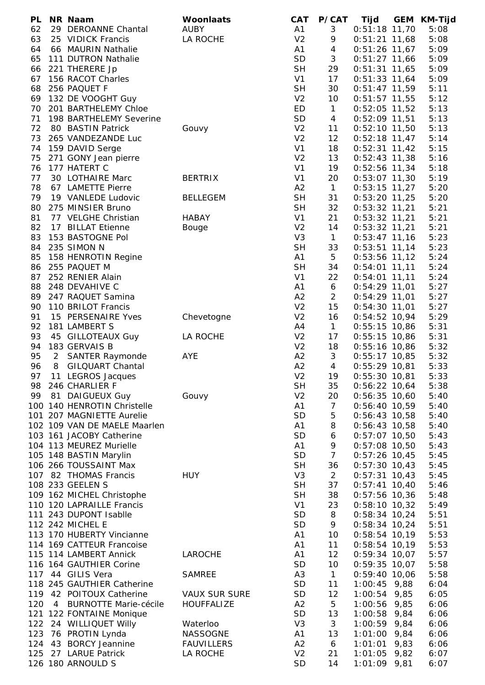| PL       |   | NR Naam                             | <b>Woonlaats</b>     | <b>CAT</b>     | P/CAT           | Tijd            | GEM KM-Tijd |
|----------|---|-------------------------------------|----------------------|----------------|-----------------|-----------------|-------------|
| 62       |   | 29 DEROANNE Chantal                 | <b>AUBY</b>          | A1             | 3               | $0:51:18$ 11,70 | 5:08        |
| 63       |   | 25 VIDICK Francis                   | LA ROCHE             | V <sub>2</sub> | 9               | $0:51:21$ 11,68 | 5:08        |
| 64       |   | 66 MAURIN Nathalie                  |                      | A1             | $\overline{4}$  | $0:51:26$ 11,67 | 5:09        |
| 65       |   | 111 DUTRON Nathalie                 |                      | SD             | 3               | $0:51:27$ 11,66 | 5:09        |
| 66       |   | 221 THERERE Jp                      |                      | <b>SH</b>      | 29              | $0:51:31$ 11,65 | 5:09        |
| 67       |   | 156 RACOT Charles                   |                      | V <sub>1</sub> | 17              | $0:51:33$ 11,64 | 5:09        |
| 68       |   | 256 PAQUET F                        |                      | <b>SH</b>      | 30              | $0:51:47$ 11,59 | 5:11        |
| 69       |   | 132 DE VOOGHT Guy                   |                      | V <sub>2</sub> | 10 <sup>°</sup> | $0:51:57$ 11,55 | 5:12        |
| 70       |   | 201 BARTHELEMY Chloe                |                      | ED             | $\mathbf{1}$    | $0:52:05$ 11,52 | 5:13        |
| 71       |   | 198 BARTHELEMY Severine             |                      | SD             | 4               | $0:52:09$ 11,51 | 5:13        |
| 72       |   | 80 BASTIN Patrick                   | Gouvy                | V <sub>2</sub> | 11              | $0:52:10$ 11,50 | 5:13        |
| 73       |   | 265 VANDEZANDE Luc                  |                      | V <sub>2</sub> | 12              | $0:52:18$ 11,47 | 5:14        |
| 74       |   | 159 DAVID Serge                     |                      | V <sub>1</sub> | 18              | $0:52:31$ 11,42 | 5:15        |
| 75       |   | 271 GONY Jean pierre                |                      | V <sub>2</sub> | 13              | $0:52:43$ 11,38 | 5:16        |
|          |   | 76 177 HATERT C                     |                      | V <sub>1</sub> | 19              | $0:52:56$ 11,34 | 5:18        |
| 77       |   | 30 LOTHAIRE Marc                    | <b>BERTRIX</b>       | V <sub>1</sub> | 20              | $0:53:07$ 11,30 | 5:19        |
| 78       |   | 67 LAMETTE Pierre                   |                      | A2             | $\mathbf{1}$    | $0:53:15$ 11,27 | 5:20        |
| 79       |   | 19 VANLEDE Ludovic                  | <b>BELLEGEM</b>      | <b>SH</b>      | 31              | $0:53:20$ 11,25 | 5:20        |
| 80       |   | 275 MINSIER Bruno                   |                      | <b>SH</b>      | 32              | $0:53:32$ 11,21 | 5:21        |
| 81       |   | 77 VELGHE Christian                 | <b>HABAY</b>         | V <sub>1</sub> | 21              | $0:53:32$ 11,21 | 5:21        |
| 82       |   | 17 BILLAT Etienne                   | Bouge                | V <sub>2</sub> | 14              | $0:53:32$ 11,21 | 5:21        |
| 83       |   | 153 BASTOGNE Pol                    |                      | V <sub>3</sub> | $\mathbf{1}$    | $0:53:47$ 11,16 | 5:23        |
| 84       |   | 235 SIMON N                         |                      | <b>SH</b>      | 33              | $0:53:51$ 11,14 | 5:23        |
| 85       |   | 158 HENROTIN Regine                 |                      | A1             | 5               | $0:53:56$ 11,12 | 5:24        |
| 86       |   | 255 PAQUET M                        |                      | <b>SH</b>      | 34              | $0:54:01$ 11,11 | 5:24        |
| 87       |   | 252 RENIER Alain                    |                      | V <sub>1</sub> | 22              | $0:54:01$ 11,11 | 5:24        |
| 88       |   | 248 DEVAHIVE C                      |                      | A1             | 6               | $0:54:29$ 11,01 | 5:27        |
|          |   | 89 247 RAQUET Samina                |                      | A2             | $\overline{2}$  | $0:54:29$ 11,01 | 5:27        |
| 90       |   | 110 BRILOT Francis                  |                      | V <sub>2</sub> | 15              | $0:54:30$ 11,01 | 5:27        |
| 91       |   | 15 PERSENAIRE Yves                  | Chevetogne           | V <sub>2</sub> | 16              | $0:54:52$ 10,94 | 5:29        |
| 92       |   | 181 LAMBERT S                       |                      | A4             | $\mathbf{1}$    | $0:55:15$ 10,86 | 5:31        |
| 93       |   | 45 GILLOTEAUX Guy                   | LA ROCHE             | V <sub>2</sub> | 17              | $0:55:15$ 10,86 | 5:31        |
| 94       |   | 183 GERVAIS B                       |                      | V <sub>2</sub> | 18              | $0:55:16$ 10,86 | 5:32        |
| 95       |   | 2 SANTER Raymonde                   | AYE                  | A2             | 3               | $0:55:17$ 10,85 | 5:32        |
| 96       |   | <b>GILQUART Chantal</b>             |                      | A2             | $\overline{4}$  | $0:55:29$ 10,81 | 5:33        |
| 97       | 8 |                                     |                      | V <sub>2</sub> | 19              | $0:55:30$ 10,81 | 5:33        |
|          |   | 11 LEGROS Jacques<br>246 CHARLIER F |                      | <b>SH</b>      |                 |                 |             |
| 98<br>99 |   | 81 DAIGUEUX Guy                     |                      | V <sub>2</sub> | 35              | $0:56:22$ 10,64 | 5:38        |
|          |   |                                     | Gouvy                |                | 20              | $0:56:35$ 10,60 | 5:40        |
|          |   | 100 140 HENROTIN Christelle         |                      | A1             | $\overline{7}$  | $0:56:40$ 10,59 | 5:40        |
|          |   | 101 207 MAGNIETTE Aurelie           |                      | <b>SD</b>      | 5               | $0:56:43$ 10,58 | 5:40        |
|          |   | 102 109 VAN DE MAELE Maarlen        |                      | A1             | 8               | $0:56:43$ 10,58 | 5:40        |
|          |   | 103 161 JACOBY Catherine            |                      | <b>SD</b>      | 6               | $0:57:07$ 10,50 | 5:43        |
|          |   | 104 113 MEUREZ Murielle             |                      | A1             | 9               | $0:57:08$ 10,50 | 5:43        |
|          |   | 105 148 BASTIN Marylin              |                      | <b>SD</b>      | $\overline{7}$  | $0:57:26$ 10,45 | 5:45        |
|          |   | 106 266 TOUSSAINT Max               |                      | <b>SH</b>      | 36              | $0:57:30$ 10,43 | 5:45        |
|          |   | 107 82 THOMAS Francis               | <b>HUY</b>           | V <sub>3</sub> | $\overline{2}$  | $0:57:31$ 10,43 | 5:45        |
|          |   | 108 233 GEELEN S                    |                      | <b>SH</b>      | 37              | $0:57:41$ 10,40 | 5:46        |
|          |   | 109 162 MICHEL Christophe           |                      | <b>SH</b>      | 38              | $0:57:56$ 10,36 | 5:48        |
|          |   | 110 120 LAPRAILLE Francis           |                      | V <sub>1</sub> | 23              | $0:58:10$ 10,32 | 5:49        |
|          |   | 111 243 DUPONT Isablle              |                      | <b>SD</b>      | 8               | $0:58:34$ 10,24 | 5:51        |
|          |   | 112 242 MICHEL E                    |                      | <b>SD</b>      | 9               | $0:58:34$ 10,24 | 5:51        |
|          |   | 113 170 HUBERTY Vincianne           |                      | A1             | 10              | $0:58:54$ 10,19 | 5:53        |
|          |   | 114 169 CATTEUR Francoise           |                      | A1             | 11              | $0:58:54$ 10,19 | 5:53        |
|          |   | 115 114 LAMBERT Annick              | LAROCHE              | A1             | 12              | $0:59:34$ 10,07 | 5:57        |
|          |   | 116 164 GAUTHIER Corine             |                      | <b>SD</b>      | 10              | $0:59:35$ 10,07 | 5:58        |
|          |   | 117 44 GILIS Vera                   | <b>SAMREE</b>        | A <sub>3</sub> | $\mathbf{1}$    | $0:59:40$ 10,06 | 5:58        |
|          |   | 118 245 GAUTHIER Catherine          |                      | SD             | 11              | $1:00:45$ 9,88  | 6:04        |
|          |   | 119 42 POITOUX Catherine            | <b>VAUX SUR SURE</b> | SD             | 12              | $1:00:54$ 9,85  | 6:05        |
| 120      |   | 4 BURNOTTE Marie-cécile             | <b>HOUFFALIZE</b>    | A2             | 5               | $1:00:56$ 9,85  | 6:06        |
|          |   | 121 122 FONTAINE Monique            |                      | <b>SD</b>      | 13              | $1:00:58$ 9,84  | 6:06        |
|          |   | 122 24 WILLIQUET Willy              | Waterloo             | V <sub>3</sub> | $\mathfrak{Z}$  | $1:00:59$ 9,84  | 6:06        |
| 123      |   | 76 PROTIN Lynda                     | <b>NASSOGNE</b>      | A1             | 13              | $1:01:00$ 9,84  | 6:06        |
| 124      |   | 43 BORCY Jeannine                   | <b>FAUVILLERS</b>    | A2             | 6               | $1:01:01$ 9,83  | 6:06        |
| 125      |   | 27 LARUE Patrick                    | LA ROCHE             | V <sub>2</sub> | 21              | $1:01:05$ 9,82  | 6:07        |
|          |   | 126 180 ARNOULD S                   |                      | <b>SD</b>      | 14              | $1:01:09$ 9,81  | 6:07        |